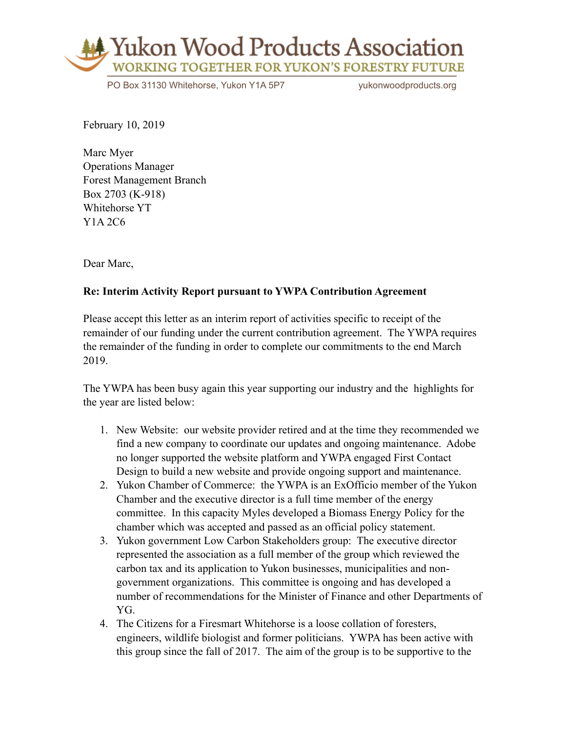

PO Box 31130 Whitehorse, Yukon Y1A 5P7 vukonwoodproducts.org

February 10, 2019

Marc Myer Operations Manager Forest Management Branch Box 2703 (K-918) Whitehorse YT Y1A 2C6

Dear Marc,

## **Re: Interim Activity Report pursuant to YWPA Contribution Agreement**

Please accept this letter as an interim report of activities specific to receipt of the remainder of our funding under the current contribution agreement. The YWPA requires the remainder of the funding in order to complete our commitments to the end March 2019.

The YWPA has been busy again this year supporting our industry and the highlights for the year are listed below:

- 1. New Website: our website provider retired and at the time they recommended we find a new company to coordinate our updates and ongoing maintenance. Adobe no longer supported the website platform and YWPA engaged First Contact Design to build a new website and provide ongoing support and maintenance.
- 2. Yukon Chamber of Commerce: the YWPA is an ExOfficio member of the Yukon Chamber and the executive director is a full time member of the energy committee. In this capacity Myles developed a Biomass Energy Policy for the chamber which was accepted and passed as an official policy statement.
- 3. Yukon government Low Carbon Stakeholders group: The executive director represented the association as a full member of the group which reviewed the carbon tax and its application to Yukon businesses, municipalities and nongovernment organizations. This committee is ongoing and has developed a number of recommendations for the Minister of Finance and other Departments of YG.
- 4. The Citizens for a Firesmart Whitehorse is a loose collation of foresters, engineers, wildlife biologist and former politicians. YWPA has been active with this group since the fall of 2017. The aim of the group is to be supportive to the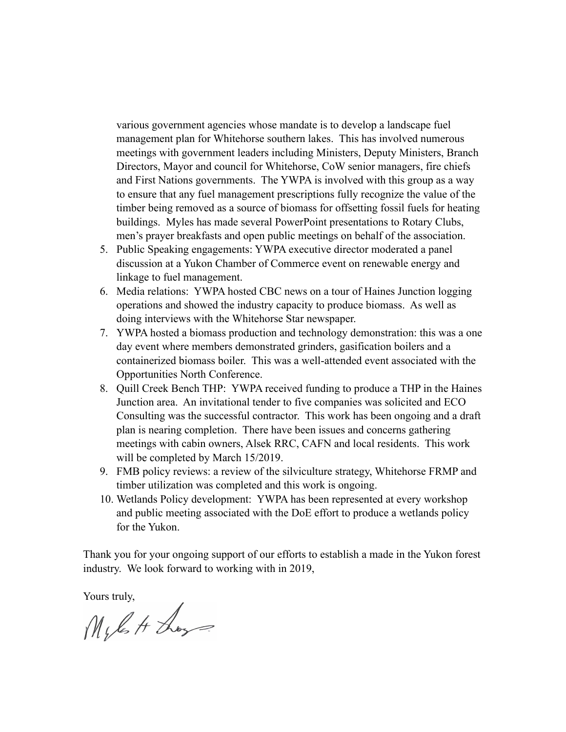various government agencies whose mandate is to develop a landscape fuel management plan for Whitehorse southern lakes. This has involved numerous meetings with government leaders including Ministers, Deputy Ministers, Branch Directors, Mayor and council for Whitehorse, CoW senior managers, fire chiefs and First Nations governments. The YWPA is involved with this group as a way to ensure that any fuel management prescriptions fully recognize the value of the timber being removed as a source of biomass for offsetting fossil fuels for heating buildings. Myles has made several PowerPoint presentations to Rotary Clubs, men's prayer breakfasts and open public meetings on behalf of the association.

- 5. Public Speaking engagements: YWPA executive director moderated a panel discussion at a Yukon Chamber of Commerce event on renewable energy and linkage to fuel management.
- 6. Media relations: YWPA hosted CBC news on a tour of Haines Junction logging operations and showed the industry capacity to produce biomass. As well as doing interviews with the Whitehorse Star newspaper.
- 7. YWPA hosted a biomass production and technology demonstration: this was a one day event where members demonstrated grinders, gasification boilers and a containerized biomass boiler. This was a well-attended event associated with the Opportunities North Conference.
- 8. Quill Creek Bench THP: YWPA received funding to produce a THP in the Haines Junction area. An invitational tender to five companies was solicited and ECO Consulting was the successful contractor. This work has been ongoing and a draft plan is nearing completion. There have been issues and concerns gathering meetings with cabin owners, Alsek RRC, CAFN and local residents. This work will be completed by March 15/2019.
- 9. FMB policy reviews: a review of the silviculture strategy, Whitehorse FRMP and timber utilization was completed and this work is ongoing.
- 10. Wetlands Policy development: YWPA has been represented at every workshop and public meeting associated with the DoE effort to produce a wetlands policy for the Yukon.

Thank you for your ongoing support of our efforts to establish a made in the Yukon forest industry. We look forward to working with in 2019,

Yours truly,<br> $M$ , les H Loss